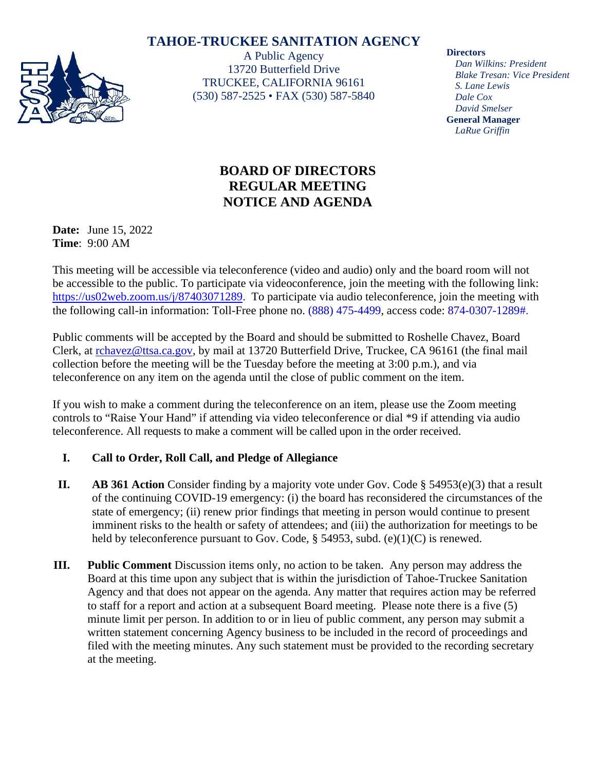# **TAHOE-TRUCKEE SANITATION AGENCY**



A Public Agency 13720 Butterfield Drive TRUCKEE, CALIFORNIA 96161 (530) 587-2525 • FAX (530) 587-5840

#### **Directors**

*Dan Wilkins: President Blake Tresan: Vice President S. Lane Lewis Dale Cox David Smelser* **General Manager** *LaRue Griffin*

# **BOARD OF DIRECTORS REGULAR MEETING NOTICE AND AGENDA**

**Date:** June 15, 2022 **Time**: 9:00 AM

This meeting will be accessible via teleconference (video and audio) only and the board room will not be accessible to the public. To participate via videoconference, join the meeting with the following link: [https://us02web.zoom.us/j/87403071289.](https://us02web.zoom.us/j/87403071289) To participate via audio teleconference, join the meeting with the following call-in information: Toll-Free phone no. (888) 475-4499, access code: 874-0307-1289#.

Public comments will be accepted by the Board and should be submitted to Roshelle Chavez, Board Clerk, at [rchavez@ttsa.c](mailto:rchavez@ttsa.)a.gov, by mail at 13720 Butterfield Drive, Truckee, CA 96161 (the final mail collection before the meeting will be the Tuesday before the meeting at 3:00 p.m.), and via teleconference on any item on the agenda until the close of public comment on the item.

If you wish to make a comment during the teleconference on an item, please use the Zoom meeting controls to "Raise Your Hand" if attending via video teleconference or dial \*9 if attending via audio teleconference. All requests to make a comment will be called upon in the order received.

## **I. Call to Order, Roll Call, and Pledge of Allegiance**

- **II. AB 361 Action** Consider finding by a majority vote under Gov. Code § 54953(e)(3) that a result of the continuing COVID-19 emergency: (i) the board has reconsidered the circumstances of the state of emergency; (ii) renew prior findings that meeting in person would continue to present imminent risks to the health or safety of attendees; and (iii) the authorization for meetings to be held by teleconference pursuant to Gov. Code, § 54953, subd. (e)(1)(C) is renewed.
- **III. Public Comment** Discussion items only, no action to be taken. Any person may address the Board at this time upon any subject that is within the jurisdiction of Tahoe-Truckee Sanitation Agency and that does not appear on the agenda. Any matter that requires action may be referred to staff for a report and action at a subsequent Board meeting. Please note there is a five (5) minute limit per person. In addition to or in lieu of public comment, any person may submit a written statement concerning Agency business to be included in the record of proceedings and filed with the meeting minutes. Any such statement must be provided to the recording secretary at the meeting.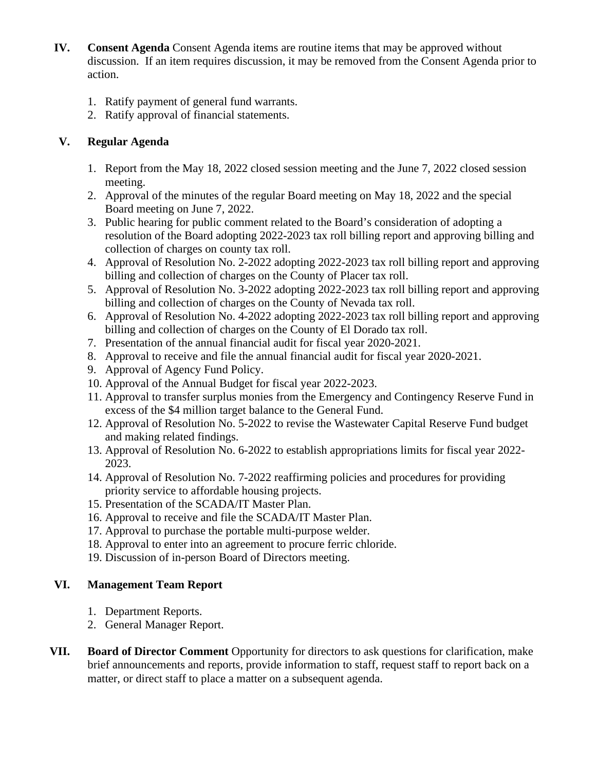- **IV. Consent Agenda** Consent Agenda items are routine items that may be approved without discussion. If an item requires discussion, it may be removed from the Consent Agenda prior to action.
	- 1. Ratify payment of general fund warrants.
	- 2. Ratify approval of financial statements.

### **V. Regular Agenda**

- 1. Report from the May 18, 2022 closed session meeting and the June 7, 2022 closed session meeting.
- 2. Approval of the minutes of the regular Board meeting on May 18, 2022 and the special Board meeting on June 7, 2022.
- 3. Public hearing for public comment related to the Board's consideration of adopting a resolution of the Board adopting 2022-2023 tax roll billing report and approving billing and collection of charges on county tax roll.
- 4. Approval of Resolution No. 2-2022 adopting 2022-2023 tax roll billing report and approving billing and collection of charges on the County of Placer tax roll.
- 5. Approval of Resolution No. 3-2022 adopting 2022-2023 tax roll billing report and approving billing and collection of charges on the County of Nevada tax roll.
- 6. Approval of Resolution No. 4-2022 adopting 2022-2023 tax roll billing report and approving billing and collection of charges on the County of El Dorado tax roll.
- 7. Presentation of the annual financial audit for fiscal year 2020-2021.
- 8. Approval to receive and file the annual financial audit for fiscal year 2020-2021.
- 9. Approval of Agency Fund Policy.
- 10. Approval of the Annual Budget for fiscal year 2022-2023.
- 11. Approval to transfer surplus monies from the Emergency and Contingency Reserve Fund in excess of the \$4 million target balance to the General Fund.
- 12. Approval of Resolution No. 5-2022 to revise the Wastewater Capital Reserve Fund budget and making related findings.
- 13. Approval of Resolution No. 6-2022 to establish appropriations limits for fiscal year 2022- 2023.
- 14. Approval of Resolution No. 7-2022 reaffirming policies and procedures for providing priority service to affordable housing projects.
- 15. Presentation of the SCADA/IT Master Plan.
- 16. Approval to receive and file the SCADA/IT Master Plan.
- 17. Approval to purchase the portable multi-purpose welder.
- 18. Approval to enter into an agreement to procure ferric chloride.
- 19. Discussion of in-person Board of Directors meeting.

## **VI. Management Team Report**

- 1. Department Reports.
- 2. General Manager Report.
- **VII. Board of Director Comment** Opportunity for directors to ask questions for clarification, make brief announcements and reports, provide information to staff, request staff to report back on a matter, or direct staff to place a matter on a subsequent agenda.